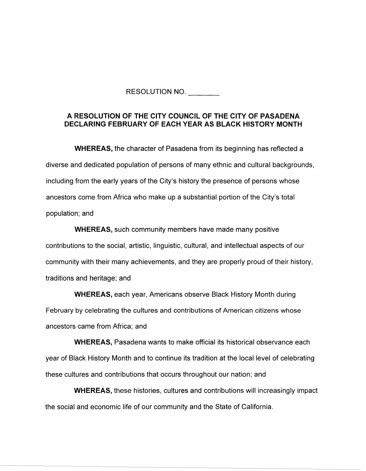RESOLUTION NO.

## **A RESOLUTION OF THE CITY COUNCIL OF THE CITY OF PASADENA DECLARING FEBRUARY OF EACH YEAR AS BLACK HISTORY MONTH**

**WHEREAS,** the character of Pasadena from its beginning has reflected a diverse and dedicated population of persons of many ethnic and cultural backgrounds, including from the early years of the City's history the presence of persons whose ancestors come from Africa who make up a substantial portion of the City's total population; and

**WHEREAS,** such community members have made many positive contributions to the social, artistic, linguistic, cultural, and intellectual aspects of our community with their many achievements, and they are properly proud of their history, traditions and heritage; and

**WHEREAS,** each year, Americans observe Black History Month during February by celebrating the cultures and contributions of American citizens whose ancestors came from Africa; and

**WHEREAS,** Pasadena wants to make official its historical observance each year of Black History Month and to continue its tradition at the local level of celebrating these cultures and contributions that occurs throughout our nation; and

**WHEREAS,** these histories, cultures and contributions will increasingly impact the social and economic life of our community and the State of California.